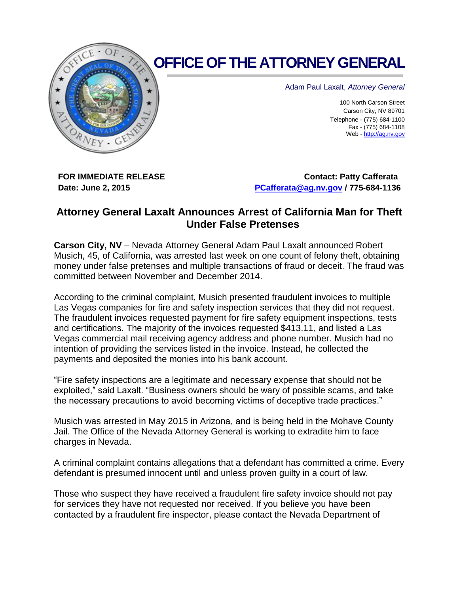

## **OFFICE OF THE ATTORNEY GENERAL**

Adam Paul Laxalt, *Attorney General*

100 North Carson Street Carson City, NV 89701 Telephone - (775) 684-1100 Fax - (775) 684-1108 Web - [http://ag.nv.gov](http://ag.nv.gov/)

**FOR IMMEDIATE RELEASE Date: June 2, 2015**

**Contact: Patty Cafferata [PCafferata@ag.nv.gov](mailto:PCafferata@ag.nv.gov) / 775-684-1136**

## **Attorney General Laxalt Announces Arrest of California Man for Theft Under False Pretenses**

**Carson City, NV** – Nevada Attorney General Adam Paul Laxalt announced Robert Musich, 45, of California, was arrested last week on one count of felony theft, obtaining money under false pretenses and multiple transactions of fraud or deceit. The fraud was committed between November and December 2014.

According to the criminal complaint, Musich presented fraudulent invoices to multiple Las Vegas companies for fire and safety inspection services that they did not request. The fraudulent invoices requested payment for fire safety equipment inspections, tests and certifications. The majority of the invoices requested \$413.11, and listed a Las Vegas commercial mail receiving agency address and phone number. Musich had no intention of providing the services listed in the invoice. Instead, he collected the payments and deposited the monies into his bank account.

"Fire safety inspections are a legitimate and necessary expense that should not be exploited," said Laxalt. "Business owners should be wary of possible scams, and take the necessary precautions to avoid becoming victims of deceptive trade practices."

Musich was arrested in May 2015 in Arizona, and is being held in the Mohave County Jail. The Office of the Nevada Attorney General is working to extradite him to face charges in Nevada.

A criminal complaint contains allegations that a defendant has committed a crime. Every defendant is presumed innocent until and unless proven guilty in a court of law.

Those who suspect they have received a fraudulent fire safety invoice should not pay for services they have not requested nor received. If you believe you have been contacted by a fraudulent fire inspector, please contact the Nevada Department of